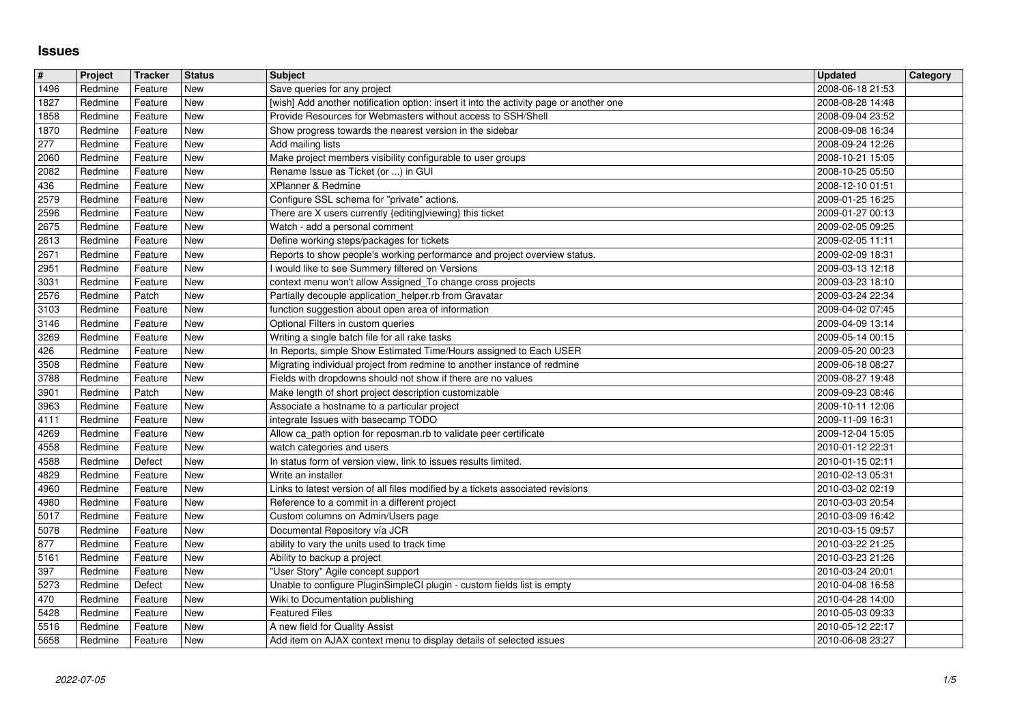## **Issues**

| $\vert$ #      | Project            | Tracker            | <b>Status</b>            | <b>Subject</b><br>Save queries for any project                                                                                           | <b>Updated</b>                       | Category |
|----------------|--------------------|--------------------|--------------------------|------------------------------------------------------------------------------------------------------------------------------------------|--------------------------------------|----------|
| 1496<br>1827   | Redmine<br>Redmine | Feature<br>Feature | <b>New</b><br>New        | [wish] Add another notification option: insert it into the activity page or another one                                                  | 2008-06-18 21:53<br>2008-08-28 14:48 |          |
| 1858           | Redmine            | Feature            | <b>New</b>               | Provide Resources for Webmasters without access to SSH/Shell                                                                             | 2008-09-04 23:52                     |          |
| 1870<br>277    | Redmine<br>Redmine | Feature<br>Feature | <b>New</b><br><b>New</b> | Show progress towards the nearest version in the sidebar<br>Add mailing lists                                                            | 2008-09-08 16:34<br>2008-09-24 12:26 |          |
| 2060           | Redmine            | Feature            | <b>New</b>               | Make project members visibility configurable to user groups                                                                              | 2008-10-21 15:05                     |          |
| 2082<br>436    | Redmine<br>Redmine | Feature<br>Feature | <b>New</b><br><b>New</b> | Rename Issue as Ticket (or ) in GUI<br>XPlanner & Redmine                                                                                | 2008-10-25 05:50<br>2008-12-10 01:51 |          |
| 2579<br>2596   | Redmine            | Feature            | New<br><b>New</b>        | Configure SSL schema for "private" actions.<br>There are X users currently {editing viewing} this ticket                                 | 2009-01-25 16:25                     |          |
| 2675           | Redmine<br>Redmine | Feature<br>Feature | <b>New</b>               | Watch - add a personal comment                                                                                                           | 2009-01-27 00:13<br>2009-02-05 09:25 |          |
| 2613           | Redmine            | Feature            | <b>New</b>               | Define working steps/packages for tickets                                                                                                | 2009-02-05 11:11                     |          |
| 2671<br>2951   | Redmine<br>Redmine | Feature<br>Feature | <b>New</b><br><b>New</b> | Reports to show people's working performance and project overview status.<br>I would like to see Summery filtered on Versions            | 2009-02-09 18:31<br>2009-03-13 12:18 |          |
| 3031           | Redmine            | Feature            | <b>New</b>               | context menu won't allow Assigned_To change cross projects                                                                               | 2009-03-23 18:10                     |          |
| 2576<br>3103   | Redmine<br>Redmine | Patch<br>Feature   | <b>New</b><br>New        | Partially decouple application_helper.rb from Gravatar<br>function suggestion about open area of information                             | 2009-03-24 22:34<br>2009-04-02 07:45 |          |
| 3146           | Redmine            | Feature            | <b>New</b>               | Optional Filters in custom queries                                                                                                       | 2009-04-09 13:14                     |          |
| 3269<br>426    | Redmine<br>Redmine | Feature<br>Feature | New<br><b>New</b>        | Writing a single batch file for all rake tasks<br>In Reports, simple Show Estimated Time/Hours assigned to Each USER                     | 2009-05-14 00:15<br>2009-05-20 00:23 |          |
| 3508<br>3788   | Redmine            | Feature            | <b>New</b><br><b>New</b> | Migrating individual project from redmine to another instance of redmine<br>Fields with dropdowns should not show if there are no values | 2009-06-18 08:27                     |          |
| 3901           | Redmine<br>Redmine | Feature<br>Patch   | <b>New</b>               | Make length of short project description customizable                                                                                    | 2009-08-27 19:48<br>2009-09-23 08:46 |          |
| 3963<br>4111   | Redmine            | Feature            | New                      | Associate a hostname to a particular project<br>integrate Issues with basecamp TODO                                                      | 2009-10-11 12:06                     |          |
| 4269           | Redmine<br>Redmine | Feature<br>Feature | New<br><b>New</b>        | Allow ca_path option for reposman.rb to validate peer certificate                                                                        | 2009-11-09 16:31<br>2009-12-04 15:05 |          |
| 4558           | Redmine            | Feature            | New                      | watch categories and users                                                                                                               | 2010-01-12 22:31                     |          |
| 4588<br>4829   | Redmine<br>Redmine | Defect<br>Feature  | <b>New</b><br><b>New</b> | In status form of version view, link to issues results limited.<br>Write an installer                                                    | 2010-01-15 02:11<br>2010-02-13 05:31 |          |
| 4960           | Redmine            | Feature            | <b>New</b>               | Links to latest version of all files modified by a tickets associated revisions                                                          | 2010-03-02 02:19                     |          |
| 4980<br>5017   | Redmine<br>Redmine | Feature<br>Feature | <b>New</b><br><b>New</b> | Reference to a commit in a different project<br>Custom columns on Admin/Users page                                                       | 2010-03-03 20:54<br>2010-03-09 16:42 |          |
| 5078           | Redmine            | Feature            | <b>New</b>               | Documental Repository vía JCR                                                                                                            | 2010-03-15 09:57                     |          |
| 877<br>5161    | Redmine<br>Redmine | Feature<br>Feature | New<br><b>New</b>        | ability to vary the units used to track time<br>Ability to backup a project                                                              | 2010-03-22 21:25<br>2010-03-23 21:26 |          |
| 397            | Redmine            | Feature            | <b>New</b>               | "User Story" Agile concept support                                                                                                       | 2010-03-24 20:01                     |          |
| 5273<br>470    | Redmine<br>Redmine | Defect<br>Feature  | <b>New</b><br>New        | Unable to configure PluginSimpleCI plugin - custom fields list is empty<br>Wiki to Documentation publishing                              | 2010-04-08 16:58<br>2010-04-28 14:00 |          |
| $\boxed{5428}$ | Redmine            | Feature            | New                      | <b>Featured Files</b>                                                                                                                    | 2010-05-03 09:33                     |          |
| 5516<br>5658   | Redmine<br>Redmine | Feature<br>Feature | New<br>New               | A new field for Quality Assist<br>Add item on AJAX context menu to display details of selected issues                                    | 2010-05-12 22:17<br>2010-06-08 23:27 |          |
|                |                    |                    |                          |                                                                                                                                          |                                      |          |
|                |                    |                    |                          |                                                                                                                                          |                                      |          |
|                |                    |                    |                          |                                                                                                                                          |                                      |          |
|                |                    |                    |                          |                                                                                                                                          |                                      |          |
|                |                    |                    |                          |                                                                                                                                          |                                      |          |
|                |                    |                    |                          |                                                                                                                                          |                                      |          |
|                |                    |                    |                          |                                                                                                                                          |                                      |          |
|                |                    |                    |                          |                                                                                                                                          |                                      |          |
|                |                    |                    |                          |                                                                                                                                          |                                      |          |
|                |                    |                    |                          |                                                                                                                                          |                                      |          |
|                |                    |                    |                          |                                                                                                                                          |                                      |          |
|                |                    |                    |                          |                                                                                                                                          |                                      |          |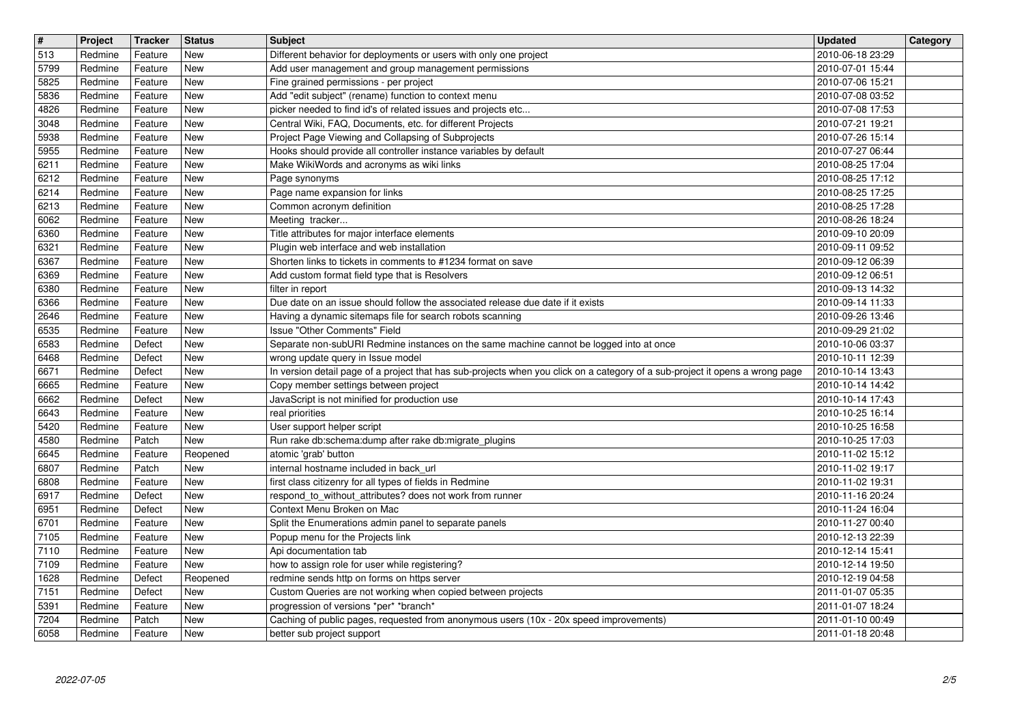| $\overline{\mathbf{H}}$ | Project            | Tracker            | <b>Status</b>            | <b>Subject</b>                                                                                                                               | <b>Updated</b>                       | Category |
|-------------------------|--------------------|--------------------|--------------------------|----------------------------------------------------------------------------------------------------------------------------------------------|--------------------------------------|----------|
| 513<br>5799             | Redmine<br>Redmine | Feature<br>Feature | New<br><b>New</b>        | Different behavior for deployments or users with only one project<br>Add user management and group management permissions                    | 2010-06-18 23:29<br>2010-07-01 15:44 |          |
| 5825                    | Redmine            | Feature            | <b>New</b>               | Fine grained permissions - per project                                                                                                       | 2010-07-06 15:21                     |          |
| 5836<br>4826            | Redmine<br>Redmine | Feature<br>Feature | New<br><b>New</b>        | Add "edit subject" (rename) function to context menu<br>picker needed to find id's of related issues and projects etc                        | 2010-07-08 03:52<br>2010-07-08 17:53 |          |
| 3048                    | Redmine            | Feature            | <b>New</b>               | Central Wiki, FAQ, Documents, etc. for different Projects                                                                                    | 2010-07-21 19:21                     |          |
| 5938<br>5955            | Redmine<br>Redmine | Feature<br>Feature | <b>New</b><br><b>New</b> | Project Page Viewing and Collapsing of Subprojects<br>Hooks should provide all controller instance variables by default                      | 2010-07-26 15:14<br>2010-07-27 06:44 |          |
| 6211                    | Redmine            | Feature            | New                      | Make WikiWords and acronyms as wiki links                                                                                                    | 2010-08-25 17:04                     |          |
| 6212<br>6214            | Redmine<br>Redmine | Feature<br>Feature | <b>New</b><br><b>New</b> | Page synonyms<br>Page name expansion for links                                                                                               | 2010-08-25 17:12<br>2010-08-25 17:25 |          |
| 6213                    | Redmine            | Feature            | <b>New</b>               | Common acronym definition                                                                                                                    | 2010-08-25 17:28                     |          |
| 6062<br>6360            | Redmine<br>Redmine | Feature<br>Feature | <b>New</b><br><b>New</b> | Meeting tracker<br>Title attributes for major interface elements                                                                             | 2010-08-26 18:24<br>2010-09-10 20:09 |          |
| 6321                    | Redmine            | Feature            | <b>New</b>               | Plugin web interface and web installation                                                                                                    | 2010-09-11 09:52                     |          |
| 6367<br>6369            | Redmine<br>Redmine | Feature<br>Feature | <b>New</b><br>New        | Shorten links to tickets in comments to #1234 format on save<br>Add custom format field type that is Resolvers                               | 2010-09-12 06:39<br>2010-09-12 06:51 |          |
| 6380                    | Redmine            | Feature            | New                      | filter in report                                                                                                                             | 2010-09-13 14:32                     |          |
| 6366<br>2646            | Redmine<br>Redmine | Feature<br>Feature | <b>New</b><br><b>New</b> | Due date on an issue should follow the associated release due date if it exists<br>Having a dynamic sitemaps file for search robots scanning | 2010-09-14 11:33<br>2010-09-26 13:46 |          |
| 6535                    | Redmine            | Feature            | <b>New</b>               | Issue "Other Comments" Field                                                                                                                 | 2010-09-29 21:02                     |          |
| 6583<br>6468            | Redmine<br>Redmine | Defect<br>Defect   | <b>New</b><br><b>New</b> | Separate non-subURI Redmine instances on the same machine cannot be logged into at once<br>wrong update query in Issue model                 | 2010-10-06 03:37<br>2010-10-11 12:39 |          |
| 6671                    | Redmine            | Defect             | <b>New</b>               | In version detail page of a project that has sub-projects when you click on a category of a sub-project it opens a wrong page                | 2010-10-14 13:43                     |          |
| 6665<br>6662            | Redmine<br>Redmine | Feature<br>Defect  | <b>New</b><br><b>New</b> | Copy member settings between project<br>JavaScript is not minified for production use                                                        | 2010-10-14 14:42<br>2010-10-14 17:43 |          |
| 6643                    | Redmine            | Feature            | New                      | real priorities                                                                                                                              | 2010-10-25 16:14                     |          |
| 5420                    | Redmine            | Feature            | New                      | User support helper script                                                                                                                   | 2010-10-25 16:58                     |          |
| 4580<br>6645            | Redmine<br>Redmine | Patch<br>Feature   | <b>New</b><br>Reopened   | Run rake db:schema:dump after rake db:migrate_plugins<br>atomic 'grab' button                                                                | 2010-10-25 17:03<br>2010-11-02 15:12 |          |
| 6807                    | Redmine            | Patch              | New                      | internal hostname included in back_url                                                                                                       | 2010-11-02 19:17                     |          |
| 6808<br>6917            | Redmine<br>Redmine | Feature<br>Defect  | New<br><b>New</b>        | first class citizenry for all types of fields in Redmine<br>respond_to_without_attributes? does not work from runner                         | 2010-11-02 19:31<br>2010-11-16 20:24 |          |
| 6951                    | Redmine            | Defect             | <b>New</b>               | Context Menu Broken on Mac                                                                                                                   | 2010-11-24 16:04                     |          |
| 6701<br>7105            | Redmine<br>Redmine | Feature<br>Feature | New<br>New               | Split the Enumerations admin panel to separate panels<br>Popup menu for the Projects link                                                    | 2010-11-27 00:40<br>2010-12-13 22:39 |          |
| 7110                    | Redmine            | Feature            | New                      | Api documentation tab                                                                                                                        | 2010-12-14 15:41                     |          |
| 7109<br>$\boxed{1628}$  | Redmine<br>Redmine | Feature<br>Defect  | New<br>Reopened          | how to assign role for user while registering?<br>redmine sends http on forms on https server                                                | 2010-12-14 19:50<br>2010-12-19 04:58 |          |
| 7151                    | Redmine            | Defect             | New                      | Custom Queries are not working when copied between projects                                                                                  | 2011-01-07 05:35                     |          |
| 5391<br>7204            | Redmine<br>Redmine | Feature<br>Patch   | New<br>New               | progression of versions *per* *branch*<br>Caching of public pages, requested from anonymous users (10x - 20x speed improvements)             | 2011-01-07 18:24<br>2011-01-10 00:49 |          |
| 6058                    | Redmine            | Feature            | New                      | better sub project support                                                                                                                   | 2011-01-18 20:48                     |          |
|                         |                    |                    |                          |                                                                                                                                              |                                      |          |
|                         |                    |                    |                          |                                                                                                                                              |                                      |          |
|                         |                    |                    |                          |                                                                                                                                              |                                      |          |
|                         |                    |                    |                          |                                                                                                                                              |                                      |          |
|                         |                    |                    |                          |                                                                                                                                              |                                      |          |
|                         |                    |                    |                          |                                                                                                                                              |                                      |          |
|                         |                    |                    |                          |                                                                                                                                              |                                      |          |
|                         |                    |                    |                          |                                                                                                                                              |                                      |          |
|                         |                    |                    |                          |                                                                                                                                              |                                      |          |
|                         |                    |                    |                          |                                                                                                                                              |                                      |          |
|                         |                    |                    |                          |                                                                                                                                              |                                      |          |
|                         |                    |                    |                          |                                                                                                                                              |                                      |          |
|                         |                    |                    |                          |                                                                                                                                              |                                      |          |
|                         |                    |                    |                          |                                                                                                                                              |                                      |          |
|                         |                    |                    |                          |                                                                                                                                              |                                      |          |
|                         |                    |                    |                          |                                                                                                                                              |                                      |          |
|                         |                    |                    |                          |                                                                                                                                              |                                      |          |
|                         |                    |                    |                          |                                                                                                                                              |                                      |          |
|                         |                    |                    |                          |                                                                                                                                              |                                      |          |
|                         |                    |                    |                          |                                                                                                                                              |                                      |          |
|                         |                    |                    |                          |                                                                                                                                              |                                      |          |
|                         |                    |                    |                          |                                                                                                                                              |                                      |          |
|                         |                    |                    |                          |                                                                                                                                              |                                      |          |
|                         |                    |                    |                          |                                                                                                                                              |                                      |          |
|                         |                    |                    |                          |                                                                                                                                              |                                      |          |
|                         |                    |                    |                          |                                                                                                                                              |                                      |          |
|                         |                    |                    |                          |                                                                                                                                              |                                      |          |
|                         |                    |                    |                          |                                                                                                                                              |                                      |          |
|                         |                    |                    |                          |                                                                                                                                              |                                      |          |
|                         |                    |                    |                          |                                                                                                                                              |                                      |          |
|                         |                    |                    |                          |                                                                                                                                              |                                      |          |
|                         |                    |                    |                          |                                                                                                                                              |                                      |          |
|                         |                    |                    |                          |                                                                                                                                              |                                      |          |
|                         |                    |                    |                          |                                                                                                                                              |                                      |          |
|                         |                    |                    |                          |                                                                                                                                              |                                      |          |
|                         |                    |                    |                          |                                                                                                                                              |                                      |          |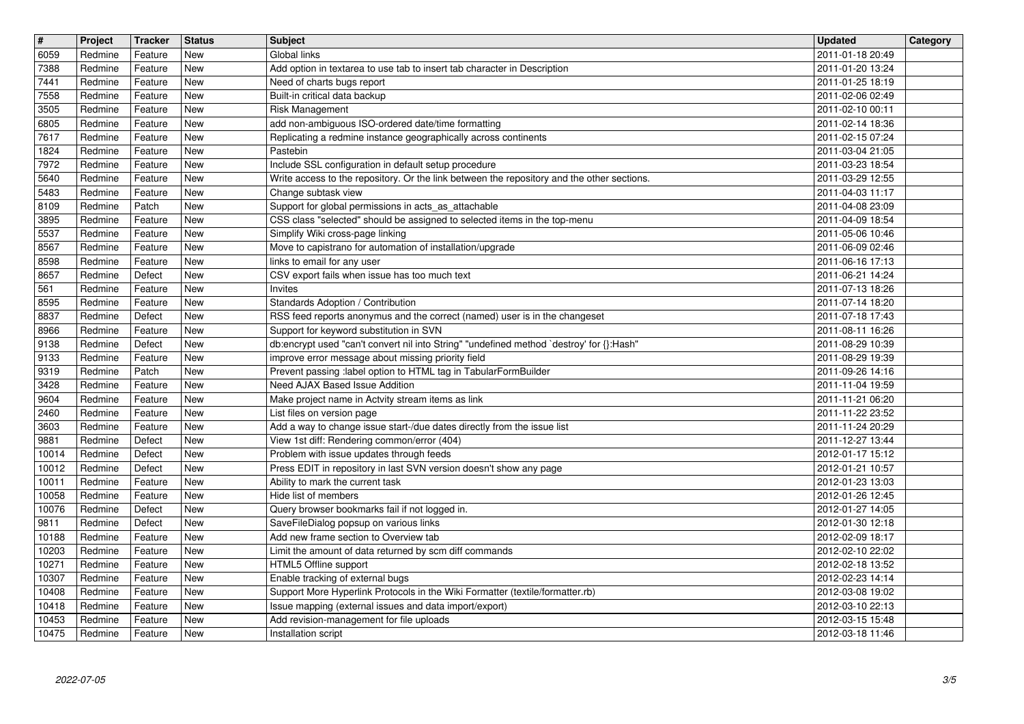| $\overline{\mathbf{H}}$ | Project            | Tracker            | <b>Status</b>            | <b>Subject</b>                                                                                                                                 | <b>Updated</b>                       | Category |
|-------------------------|--------------------|--------------------|--------------------------|------------------------------------------------------------------------------------------------------------------------------------------------|--------------------------------------|----------|
| 6059<br>7388            | Redmine<br>Redmine | Feature<br>Feature | New<br><b>New</b>        | Global links<br>Add option in textarea to use tab to insert tab character in Description                                                       | 2011-01-18 20:49<br>2011-01-20 13:24 |          |
| 7441                    | Redmine            | Feature            | <b>New</b>               | Need of charts bugs report                                                                                                                     | 2011-01-25 18:19                     |          |
| 7558<br>3505            | Redmine<br>Redmine | Feature<br>Feature | <b>New</b><br><b>New</b> | Built-in critical data backup<br>Risk Management                                                                                               | 2011-02-06 02:49<br>2011-02-10 00:11 |          |
| 6805                    | Redmine            | Feature            | <b>New</b>               | add non-ambiguous ISO-ordered date/time formatting                                                                                             | 2011-02-14 18:36                     |          |
| 7617<br>1824            | Redmine<br>Redmine | Feature<br>Feature | <b>New</b><br><b>New</b> | Replicating a redmine instance geographically across continents<br>Pastebin                                                                    | 2011-02-15 07:24<br>2011-03-04 21:05 |          |
| 7972                    | Redmine            | Feature            | New                      | Include SSL configuration in default setup procedure                                                                                           | 2011-03-23 18:54                     |          |
| 5640<br>5483            | Redmine<br>Redmine | Feature<br>Feature | <b>New</b><br><b>New</b> | Write access to the repository. Or the link between the repository and the other sections.<br>Change subtask view                              | 2011-03-29 12:55<br>2011-04-03 11:17 |          |
| 8109                    | Redmine            | Patch              | New                      | Support for global permissions in acts_as_attachable                                                                                           | 2011-04-08 23:09                     |          |
| 3895<br>5537            | Redmine<br>Redmine | Feature<br>Feature | <b>New</b><br><b>New</b> | CSS class "selected" should be assigned to selected items in the top-menu<br>Simplify Wiki cross-page linking                                  | 2011-04-09 18:54<br>2011-05-06 10:46 |          |
| 8567                    | Redmine            | Feature            | <b>New</b>               | Move to capistrano for automation of installation/upgrade                                                                                      | 2011-06-09 02:46                     |          |
| 8598<br>8657            | Redmine<br>Redmine | Feature<br>Defect  | <b>New</b><br><b>New</b> | links to email for any user<br>CSV export fails when issue has too much text                                                                   | 2011-06-16 17:13<br>2011-06-21 14:24 |          |
| 561                     | Redmine            | Feature            | New                      | Invites                                                                                                                                        | 2011-07-13 18:26                     |          |
| 8595<br>8837            | Redmine<br>Redmine | Feature<br>Defect  | <b>New</b><br>New        | Standards Adoption / Contribution<br>RSS feed reports anonymus and the correct (named) user is in the changeset                                | 2011-07-14 18:20<br>2011-07-18 17:43 |          |
| 8966                    | Redmine            | Feature            | <b>New</b>               | Support for keyword substitution in SVN                                                                                                        | 2011-08-11 16:26                     |          |
| 9138<br>9133            | Redmine<br>Redmine | Defect<br>Feature  | <b>New</b><br><b>New</b> | db:encrypt used "can't convert nil into String" "undefined method `destroy' for {}:Hash"<br>improve error message about missing priority field | 2011-08-29 10:39<br>2011-08-29 19:39 |          |
| 9319                    | Redmine            | Patch              | <b>New</b>               | Prevent passing :label option to HTML tag in TabularFormBuilder                                                                                | 2011-09-26 14:16                     |          |
| 3428<br>9604            | Redmine<br>Redmine | Feature<br>Feature | New<br><b>New</b>        | Need AJAX Based Issue Addition<br>Make project name in Actvity stream items as link                                                            | 2011-11-04 19:59<br>2011-11-21 06:20 |          |
| 2460                    | Redmine            | Feature            | New                      | List files on version page                                                                                                                     | 2011-11-22 23:52                     |          |
| 3603<br>9881            | Redmine<br>Redmine | Feature<br>Defect  | <b>New</b><br><b>New</b> | Add a way to change issue start-/due dates directly from the issue list<br>View 1st diff: Rendering common/error (404)                         | 2011-11-24 20:29<br>2011-12-27 13:44 |          |
| 10014                   | Redmine            | Defect             | <b>New</b>               | Problem with issue updates through feeds                                                                                                       | 2012-01-17 15:12                     |          |
| 10012                   | Redmine            | Defect             | <b>New</b>               | Press EDIT in repository in last SVN version doesn't show any page                                                                             | 2012-01-21 10:57                     |          |
| 10011<br>10058          | Redmine<br>Redmine | Feature<br>Feature | <b>New</b><br><b>New</b> | Ability to mark the current task<br>Hide list of members                                                                                       | 2012-01-23 13:03<br>2012-01-26 12:45 |          |
| 10076                   | Redmine            | Defect             | <b>New</b>               | Query browser bookmarks fail if not logged in.                                                                                                 | 2012-01-27 14:05                     |          |
| 9811<br>10188           | Redmine<br>Redmine | Defect<br>Feature  | New<br>New               | SaveFileDialog popsup on various links<br>Add new frame section to Overview tab                                                                | 2012-01-30 12:18<br>2012-02-09 18:17 |          |
| 10203                   | Redmine            | Feature            | New                      | Limit the amount of data returned by scm diff commands                                                                                         | 2012-02-10 22:02                     |          |
| 10271<br>10307          | Redmine<br>Redmine | Feature<br>Feature | New<br>New               | HTML5 Offline support<br>Enable tracking of external bugs                                                                                      | 2012-02-18 13:52<br>2012-02-23 14:14 |          |
| 10408                   | Redmine            | Feature            | New                      | Support More Hyperlink Protocols in the Wiki Formatter (textile/formatter.rb)                                                                  | 2012-03-08 19:02                     |          |
| 10418<br>10453          | Redmine<br>Redmine | Feature<br>Feature | New<br>New               | Issue mapping (external issues and data import/export)<br>Add revision-management for file uploads                                             | 2012-03-10 22:13<br>2012-03-15 15:48 |          |
| 10475                   | Redmine            | Feature            | New                      | Installation script                                                                                                                            | 2012-03-18 11:46                     |          |
|                         |                    |                    |                          |                                                                                                                                                |                                      |          |
|                         |                    |                    |                          |                                                                                                                                                |                                      |          |
|                         |                    |                    |                          |                                                                                                                                                |                                      |          |
|                         |                    |                    |                          |                                                                                                                                                |                                      |          |
|                         |                    |                    |                          |                                                                                                                                                |                                      |          |
|                         |                    |                    |                          |                                                                                                                                                |                                      |          |
|                         |                    |                    |                          |                                                                                                                                                |                                      |          |
|                         |                    |                    |                          |                                                                                                                                                |                                      |          |
|                         |                    |                    |                          |                                                                                                                                                |                                      |          |
|                         |                    |                    |                          |                                                                                                                                                |                                      |          |
|                         |                    |                    |                          |                                                                                                                                                |                                      |          |
|                         |                    |                    |                          |                                                                                                                                                |                                      |          |
|                         |                    |                    |                          |                                                                                                                                                |                                      |          |
|                         |                    |                    |                          |                                                                                                                                                |                                      |          |
|                         |                    |                    |                          |                                                                                                                                                |                                      |          |
|                         |                    |                    |                          |                                                                                                                                                |                                      |          |
|                         |                    |                    |                          |                                                                                                                                                |                                      |          |
|                         |                    |                    |                          |                                                                                                                                                |                                      |          |
|                         |                    |                    |                          |                                                                                                                                                |                                      |          |
|                         |                    |                    |                          |                                                                                                                                                |                                      |          |
|                         |                    |                    |                          |                                                                                                                                                |                                      |          |
|                         |                    |                    |                          |                                                                                                                                                |                                      |          |
|                         |                    |                    |                          |                                                                                                                                                |                                      |          |
|                         |                    |                    |                          |                                                                                                                                                |                                      |          |
|                         |                    |                    |                          |                                                                                                                                                |                                      |          |
|                         |                    |                    |                          |                                                                                                                                                |                                      |          |
|                         |                    |                    |                          |                                                                                                                                                |                                      |          |
|                         |                    |                    |                          |                                                                                                                                                |                                      |          |
|                         |                    |                    |                          |                                                                                                                                                |                                      |          |
|                         |                    |                    |                          |                                                                                                                                                |                                      |          |
|                         |                    |                    |                          |                                                                                                                                                |                                      |          |
|                         |                    |                    |                          |                                                                                                                                                |                                      |          |
|                         |                    |                    |                          |                                                                                                                                                |                                      |          |
|                         |                    |                    |                          |                                                                                                                                                |                                      |          |
|                         |                    |                    |                          |                                                                                                                                                |                                      |          |
|                         |                    |                    |                          |                                                                                                                                                |                                      |          |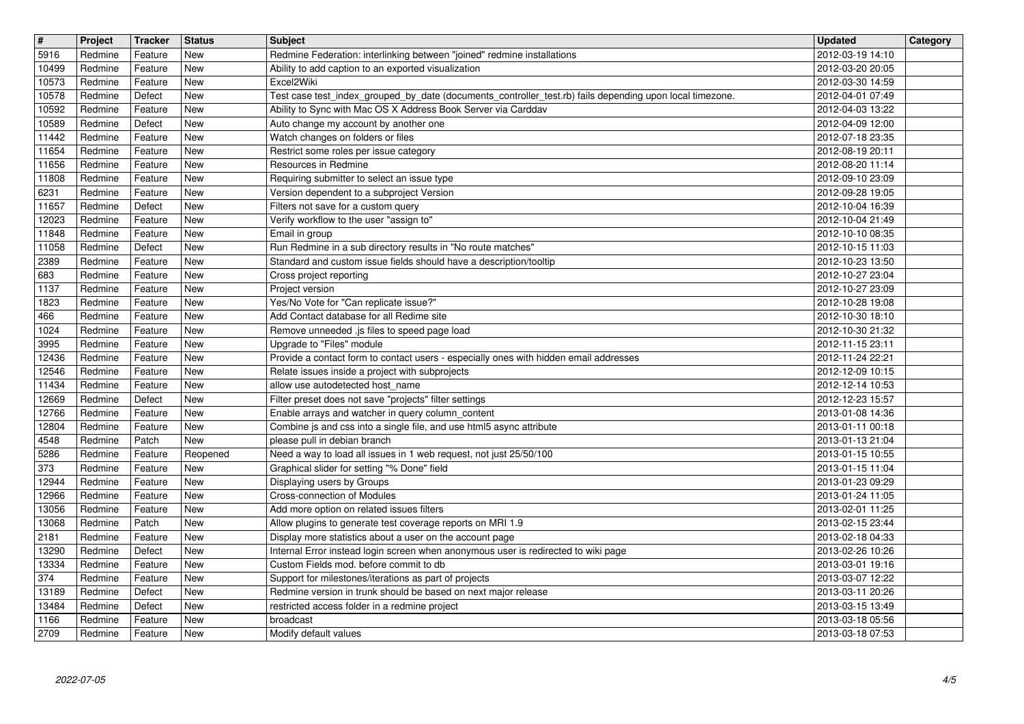| $\sqrt{t}$             | Project            | Tracker            | <b>Status</b>     | <b>Subject</b>                                                                                                                                                            | <b>Updated</b>                       | Category |
|------------------------|--------------------|--------------------|-------------------|---------------------------------------------------------------------------------------------------------------------------------------------------------------------------|--------------------------------------|----------|
| 5916<br>10499          | Redmine<br>Redmine | Feature<br>Feature | New<br>New        | Redmine Federation: interlinking between "joined" redmine installations<br>Ability to add caption to an exported visualization                                            | 2012-03-19 14:10<br>2012-03-20 20:05 |          |
| 10573                  | Redmine            | Feature            | New               | Excel2Wiki                                                                                                                                                                | 2012-03-30 14:59                     |          |
| 10578<br>10592         | Redmine<br>Redmine | Defect<br>Feature  | New<br><b>New</b> | Test case test_index_grouped_by_date (documents_controller_test.rb) fails depending upon local timezone.<br>Ability to Sync with Mac OS X Address Book Server via Carddav | 2012-04-01 07:49<br>2012-04-03 13:22 |          |
| 10589                  | Redmine            | Defect             | New               | Auto change my account by another one                                                                                                                                     | 2012-04-09 12:00                     |          |
| 11442<br>11654         | Redmine<br>Redmine | Feature<br>Feature | New<br>New        | Watch changes on folders or files<br>Restrict some roles per issue category                                                                                               | 2012-07-18 23:35<br>2012-08-19 20:11 |          |
| 11656                  | Redmine            | Feature            | New               | Resources in Redmine                                                                                                                                                      | 2012-08-20 11:14                     |          |
| 11808<br>6231          | Redmine<br>Redmine | Feature<br>Feature | New<br>New        | Requiring submitter to select an issue type<br>Version dependent to a subproject Version                                                                                  | 2012-09-10 23:09<br>2012-09-28 19:05 |          |
| 11657                  | Redmine            | Defect             | New               | Filters not save for a custom query                                                                                                                                       | 2012-10-04 16:39                     |          |
| 12023<br>11848         | Redmine<br>Redmine | Feature<br>Feature | New<br>New        | Verify workflow to the user "assign to"<br>Email in group                                                                                                                 | 2012-10-04 21:49<br>2012-10-10 08:35 |          |
| 11058<br>2389          | Redmine<br>Redmine | Defect<br>Feature  | New<br>New        | Run Redmine in a sub directory results in "No route matches"<br>Standard and custom issue fields should have a description/tooltip                                        | 2012-10-15 11:03<br>2012-10-23 13:50 |          |
| 683                    | Redmine            | Feature            | New               | Cross project reporting                                                                                                                                                   | 2012-10-27 23:04                     |          |
| 1137<br>1823           | Redmine<br>Redmine | Feature<br>Feature | New<br>New        | Project version<br>Yes/No Vote for "Can replicate issue?"                                                                                                                 | 2012-10-27 23:09<br>2012-10-28 19:08 |          |
| 466                    | Redmine            | Feature            | New               | Add Contact database for all Redime site                                                                                                                                  | 2012-10-30 18:10                     |          |
| 1024<br>3995           | Redmine<br>Redmine | Feature<br>Feature | New<br>New        | Remove unneeded .js files to speed page load<br>Upgrade to "Files" module                                                                                                 | 2012-10-30 21:32<br>2012-11-15 23:11 |          |
| 12436                  | Redmine            | Feature            | New               | Provide a contact form to contact users - especially ones with hidden email addresses                                                                                     | 2012-11-24 22:21                     |          |
| 12546<br>11434         | Redmine<br>Redmine | Feature<br>Feature | New<br>New        | Relate issues inside a project with subprojects<br>allow use autodetected host name                                                                                       | 2012-12-09 10:15<br>2012-12-14 10:53 |          |
| 12669                  | Redmine            | Defect             | New               | Filter preset does not save "projects" filter settings                                                                                                                    | 2012-12-23 15:57                     |          |
| 12766<br>12804         | Redmine<br>Redmine | Feature<br>Feature | New<br>New        | Enable arrays and watcher in query column_content<br>Combine js and css into a single file, and use html5 async attribute                                                 | 2013-01-08 14:36<br>2013-01-11 00:18 |          |
| 4548                   | Redmine            | Patch              | New               | please pull in debian branch                                                                                                                                              | 2013-01-13 21:04                     |          |
| 5286<br>373            | Redmine<br>Redmine | Feature<br>Feature | Reopened<br>New   | Need a way to load all issues in 1 web request, not just 25/50/100<br>Graphical slider for setting "% Done" field                                                         | 2013-01-15 10:55<br>2013-01-15 11:04 |          |
| 12944                  | Redmine            | Feature            | New               | Displaying users by Groups                                                                                                                                                | 2013-01-23 09:29                     |          |
| 12966<br>13056         | Redmine<br>Redmine | Feature<br>Feature | New<br>New        | Cross-connection of Modules<br>Add more option on related issues filters                                                                                                  | 2013-01-24 11:05<br>2013-02-01 11:25 |          |
| 13068                  | Redmine            | Patch              | New               | Allow plugins to generate test coverage reports on MRI 1.9                                                                                                                | 2013-02-15 23:44                     |          |
| 2181<br>13290          | Redmine<br>Redmine | Feature<br>Defect  | New<br>New        | Display more statistics about a user on the account page<br>Internal Error instead login screen when anonymous user is redirected to wiki page                            | 2013-02-18 04:33<br>2013-02-26 10:26 |          |
| 13334                  | Redmine            | Feature            | New               | Custom Fields mod. before commit to db                                                                                                                                    | 2013-03-01 19:16                     |          |
| $\boxed{374}$<br>13189 | Redmine<br>Redmine | Feature<br>Defect  | New<br>New        | Support for milestones/iterations as part of projects<br>Redmine version in trunk should be based on next major release                                                   | 2013-03-07 12:22<br>2013-03-11 20:26 |          |
| 13484                  | Redmine            | Defect             | New               | restricted access folder in a redmine project                                                                                                                             | 2013-03-15 13:49                     |          |
| 1166<br>2709           | Redmine<br>Redmine | Feature<br>Feature | New<br>New        | broadcast<br>Modify default values                                                                                                                                        | 2013-03-18 05:56<br>2013-03-18 07:53 |          |
|                        |                    |                    |                   |                                                                                                                                                                           |                                      |          |
|                        |                    |                    |                   |                                                                                                                                                                           |                                      |          |
|                        |                    |                    |                   |                                                                                                                                                                           |                                      |          |
|                        |                    |                    |                   |                                                                                                                                                                           |                                      |          |
|                        |                    |                    |                   |                                                                                                                                                                           |                                      |          |
|                        |                    |                    |                   |                                                                                                                                                                           |                                      |          |
|                        |                    |                    |                   |                                                                                                                                                                           |                                      |          |
|                        |                    |                    |                   |                                                                                                                                                                           |                                      |          |
|                        |                    |                    |                   |                                                                                                                                                                           |                                      |          |
|                        |                    |                    |                   |                                                                                                                                                                           |                                      |          |
|                        |                    |                    |                   |                                                                                                                                                                           |                                      |          |
|                        |                    |                    |                   |                                                                                                                                                                           |                                      |          |
|                        |                    |                    |                   |                                                                                                                                                                           |                                      |          |
|                        |                    |                    |                   |                                                                                                                                                                           |                                      |          |
|                        |                    |                    |                   |                                                                                                                                                                           |                                      |          |
|                        |                    |                    |                   |                                                                                                                                                                           |                                      |          |
|                        |                    |                    |                   |                                                                                                                                                                           |                                      |          |
|                        |                    |                    |                   |                                                                                                                                                                           |                                      |          |
|                        |                    |                    |                   |                                                                                                                                                                           |                                      |          |
|                        |                    |                    |                   |                                                                                                                                                                           |                                      |          |
|                        |                    |                    |                   |                                                                                                                                                                           |                                      |          |
|                        |                    |                    |                   |                                                                                                                                                                           |                                      |          |
|                        |                    |                    |                   |                                                                                                                                                                           |                                      |          |
|                        |                    |                    |                   |                                                                                                                                                                           |                                      |          |
|                        |                    |                    |                   |                                                                                                                                                                           |                                      |          |
|                        |                    |                    |                   |                                                                                                                                                                           |                                      |          |
|                        |                    |                    |                   |                                                                                                                                                                           |                                      |          |
|                        |                    |                    |                   |                                                                                                                                                                           |                                      |          |
|                        |                    |                    |                   |                                                                                                                                                                           |                                      |          |
|                        |                    |                    |                   |                                                                                                                                                                           |                                      |          |
|                        |                    |                    |                   |                                                                                                                                                                           |                                      |          |
|                        |                    |                    |                   |                                                                                                                                                                           |                                      |          |
|                        |                    |                    |                   |                                                                                                                                                                           |                                      |          |
|                        |                    |                    |                   |                                                                                                                                                                           |                                      |          |
|                        |                    |                    |                   |                                                                                                                                                                           |                                      |          |
|                        |                    |                    |                   |                                                                                                                                                                           |                                      |          |